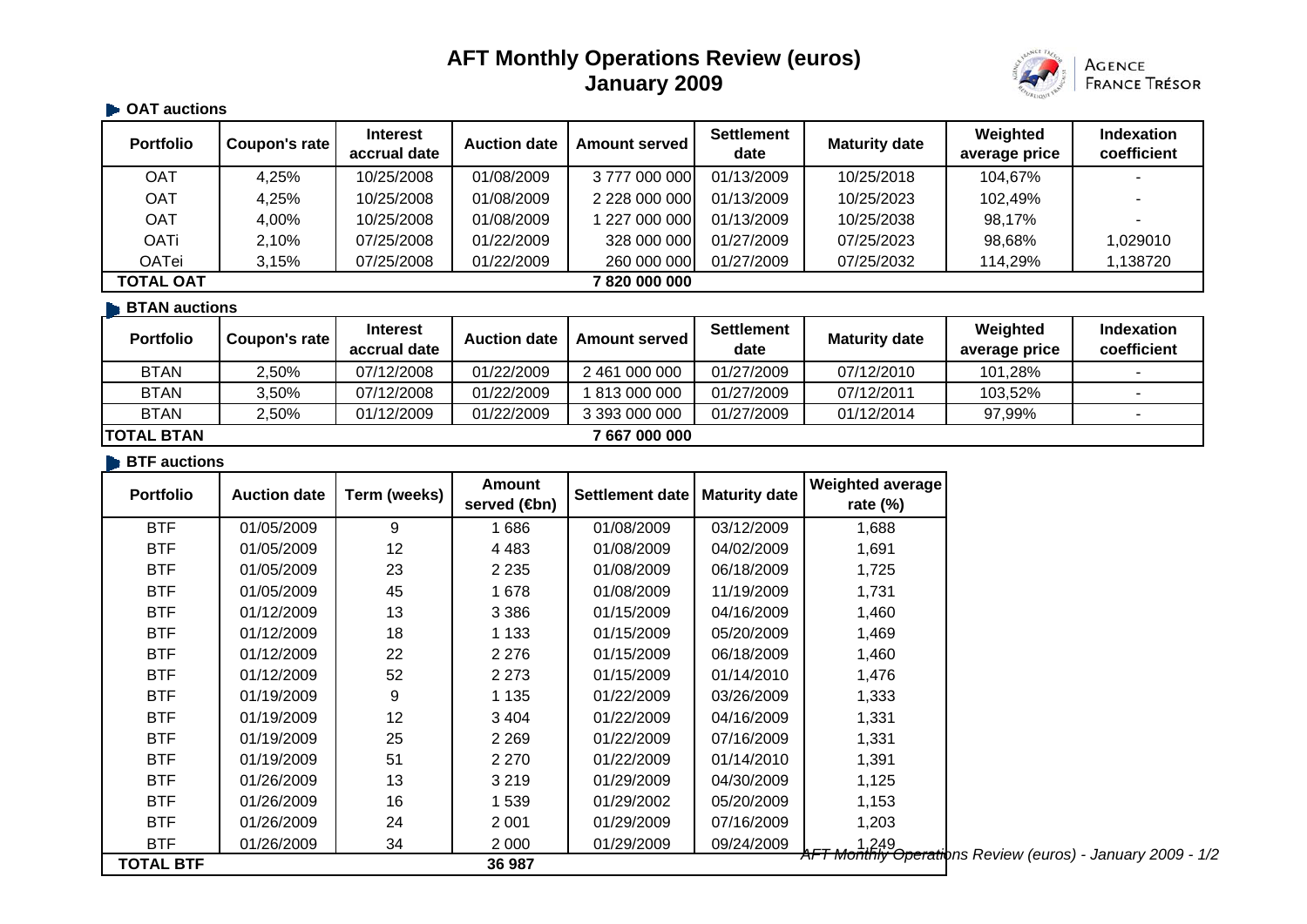# **AFT Monthly Operations Review (euros) January 2009**



#### **OAT auctions**

| <b>Portfolio</b>               | Coupon's rate | <b>Interest</b><br>accrual date | <b>Auction date</b> | <b>Amount served</b> | <b>Settlement</b><br>date | <b>Maturity date</b> | Weighted<br>average price | <b>Indexation</b><br>coefficient |
|--------------------------------|---------------|---------------------------------|---------------------|----------------------|---------------------------|----------------------|---------------------------|----------------------------------|
| OAT                            | 4,25%         | 10/25/2008                      | 01/08/2009          | 3777000000           | 01/13/2009                | 10/25/2018           | 104,67%                   |                                  |
| OAT                            | 4,25%         | 10/25/2008                      | 01/08/2009          | 2 228 000 000        | 01/13/2009                | 10/25/2023           | 102,49%                   |                                  |
| OAT                            | 4,00%         | 10/25/2008                      | 01/08/2009          | 227 000 000          | 01/13/2009                | 10/25/2038           | 98,17%                    |                                  |
| <b>OATi</b>                    | 2,10%         | 07/25/2008                      | 01/22/2009          | 328 000 000          | 01/27/2009                | 07/25/2023           | 98,68%                    | 1,029010                         |
| <b>OATei</b>                   | 3,15%         | 07/25/2008                      | 01/22/2009          | 260 000 000          | 01/27/2009                | 07/25/2032           | 114,29%                   | 1,138720                         |
| <b>TOTAL OAT</b><br>7820000000 |               |                                 |                     |                      |                           |                      |                           |                                  |
| <b>BTAN</b> auctions           |               |                                 |                     |                      |                           |                      |                           |                                  |

| <b>Portfolio</b>   | Coupon's rate | <b>Interest</b><br>accrual date | <b>Auction date</b> | <b>Amount served</b> | <b>Settlement</b><br>date | <b>Maturity date</b> | Weighted<br>average price | <b>Indexation</b><br>coefficient |
|--------------------|---------------|---------------------------------|---------------------|----------------------|---------------------------|----------------------|---------------------------|----------------------------------|
| <b>BTAN</b>        | 2,50%         | 07/12/2008                      | 01/22/2009          | 2 461 000 000        | 01/27/2009                | 07/12/2010           | 101.28%                   |                                  |
| <b>BTAN</b>        | 3.50%         | 07/12/2008                      | 01/22/2009          | 813 000 000          | 01/27/2009                | 07/12/2011           | 103,52%                   |                                  |
| <b>BTAN</b>        | 2.50%         | 01/12/2009                      | 01/22/2009          | 3 393 000 000        | 01/27/2009                | 01/12/2014           | 97.99%                    |                                  |
| <b>ITOTAL BTAN</b> |               |                                 |                     | 7 667 000 000        |                           |                      |                           |                                  |

#### **BTF** auctions

| <b>Portfolio</b> | <b>Auction date</b> | Term (weeks) | Amount<br>served ( <del></del> the method) | Settlement date | <b>Maturity date</b> | Weighted average<br>rate $(\%)$                                     |
|------------------|---------------------|--------------|--------------------------------------------|-----------------|----------------------|---------------------------------------------------------------------|
| <b>BTF</b>       | 01/05/2009          | 9            | 1686                                       | 01/08/2009      | 03/12/2009           | 1,688                                                               |
| <b>BTF</b>       | 01/05/2009          | 12           | 4 4 8 3                                    | 01/08/2009      | 04/02/2009           | 1,691                                                               |
| <b>BTF</b>       | 01/05/2009          | 23           | 2 2 3 5                                    | 01/08/2009      | 06/18/2009           | 1,725                                                               |
| <b>BTF</b>       | 01/05/2009          | 45           | 1678                                       | 01/08/2009      | 11/19/2009           | 1,731                                                               |
| <b>BTF</b>       | 01/12/2009          | 13           | 3 3 8 6                                    | 01/15/2009      | 04/16/2009           | 1,460                                                               |
| <b>BTF</b>       | 01/12/2009          | 18           | 1 1 3 3                                    | 01/15/2009      | 05/20/2009           | 1,469                                                               |
| <b>BTF</b>       | 01/12/2009          | 22           | 2 2 7 6                                    | 01/15/2009      | 06/18/2009           | 1,460                                                               |
| <b>BTF</b>       | 01/12/2009          | 52           | 2 2 7 3                                    | 01/15/2009      | 01/14/2010           | 1,476                                                               |
| <b>BTF</b>       | 01/19/2009          | 9            | 1 1 3 5                                    | 01/22/2009      | 03/26/2009           | 1,333                                                               |
| <b>BTF</b>       | 01/19/2009          | 12           | 3 4 0 4                                    | 01/22/2009      | 04/16/2009           | 1,331                                                               |
| <b>BTF</b>       | 01/19/2009          | 25           | 2 2 6 9                                    | 01/22/2009      | 07/16/2009           | 1,331                                                               |
| <b>BTF</b>       | 01/19/2009          | 51           | 2 2 7 0                                    | 01/22/2009      | 01/14/2010           | 1,391                                                               |
| <b>BTF</b>       | 01/26/2009          | 13           | 3 2 1 9                                    | 01/29/2009      | 04/30/2009           | 1,125                                                               |
| <b>BTF</b>       | 01/26/2009          | 16           | 1539                                       | 01/29/2002      | 05/20/2009           | 1,153                                                               |
| <b>BTF</b>       | 01/26/2009          | 24           | 2 0 0 1                                    | 01/29/2009      | 07/16/2009           | 1,203                                                               |
| <b>BTF</b>       | 01/26/2009          | 34           | 2 000                                      | 01/29/2009      | 09/24/2009           | 1,249<br>AFT Monthly Operations Review (euros) - January 2009 - 1/2 |
| <b>TOTAL BTF</b> |                     |              | 36 987                                     |                 |                      |                                                                     |